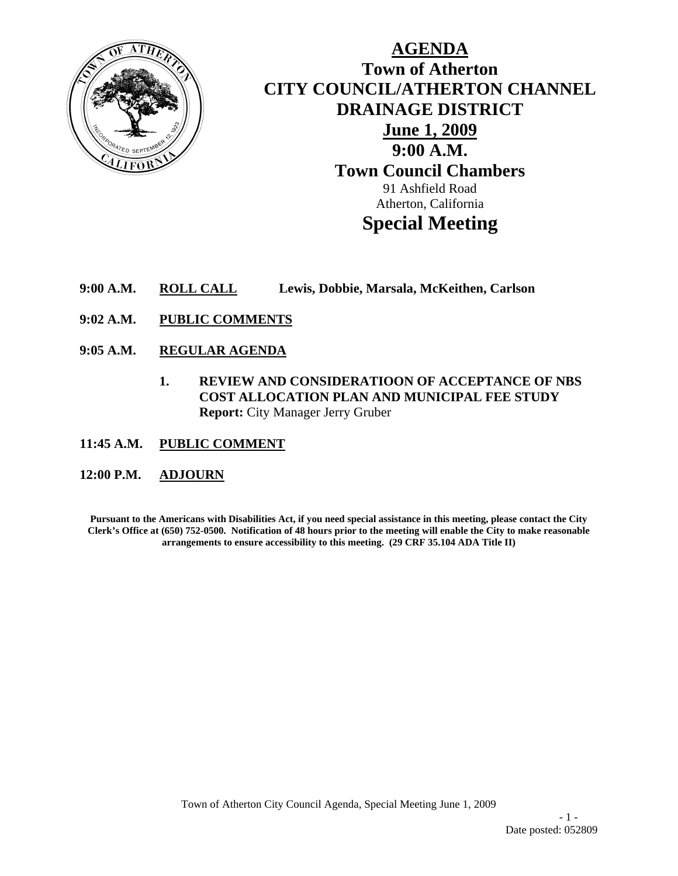

**AGENDA Town of Atherton CITY COUNCIL/ATHERTON CHANNEL DRAINAGE DISTRICT June 1, 2009 9:00 A.M. Town Council Chambers**  91 Ashfield Road Atherton, California **Special Meeting** 

- **9:00 A.M. ROLL CALL Lewis, Dobbie, Marsala, McKeithen, Carlson**
- **9:02 A.M. PUBLIC COMMENTS**
- **9:05 A.M. REGULAR AGENDA**
	- **1. REVIEW AND CONSIDERATIOON OF ACCEPTANCE OF NBS COST ALLOCATION PLAN AND MUNICIPAL FEE STUDY Report:** City Manager Jerry Gruber
- **11:45 A.M. PUBLIC COMMENT**
- **12:00 P.M. ADJOURN**

**Pursuant to the Americans with Disabilities Act, if you need special assistance in this meeting, please contact the City Clerk's Office at (650) 752-0500. Notification of 48 hours prior to the meeting will enable the City to make reasonable arrangements to ensure accessibility to this meeting. (29 CRF 35.104 ADA Title II)**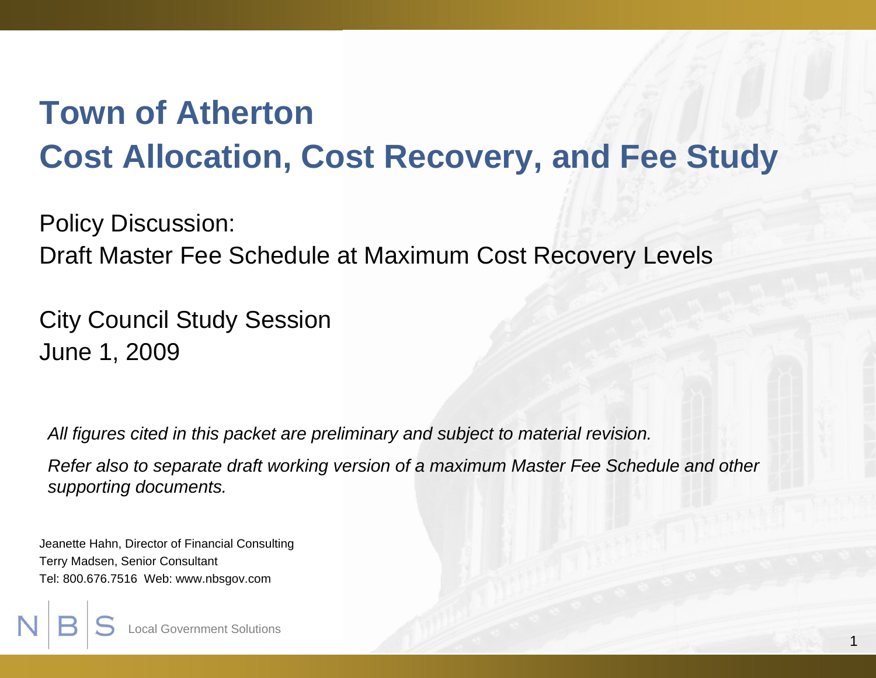# **Town of AthertonCost Allocation, Cost Recovery, and Fee Study**

Policy Discussion:

Draft Master Fee Schedule at Maximum Cost Recovery Levels

City Council Study Session June 1, 2009

*All figures cited in this packet are preliminary and subject to material revision.*

*Refer also to separate draft working version of a maximum Master Fee Schedule and other supporting documents.*

Jeanette Hahn, Director of Financial Consulting Terry Madsen, Senior Consultant Tel: 800.676.7516 Web: www.nbsgov.com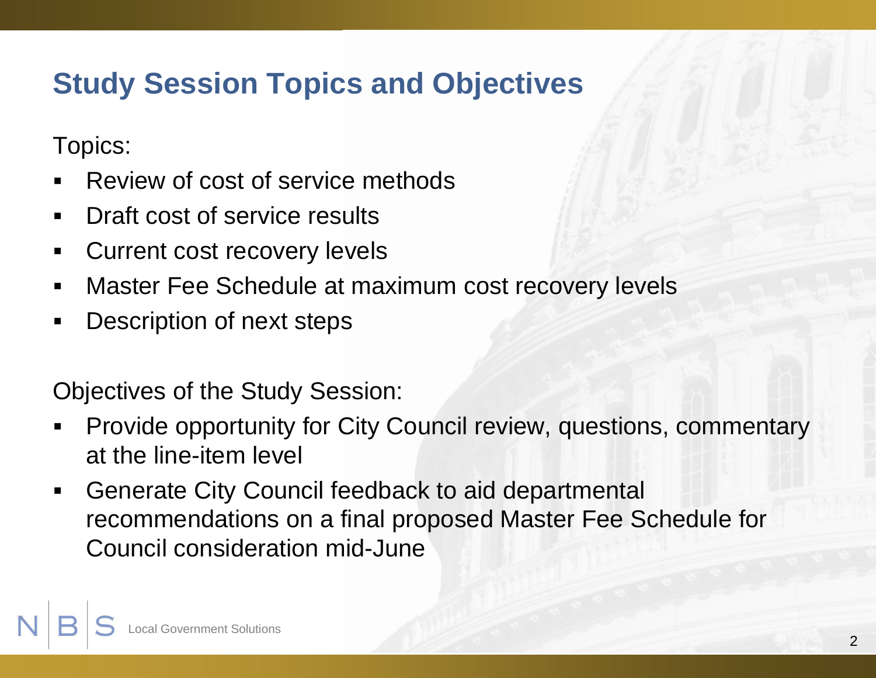# **Study Session Topics and Objectives**

Topics:

- ٠ Review of cost of service methods
- $\blacksquare$ Draft cost of service results
- $\blacksquare$ Current cost recovery levels
- $\blacksquare$ Master Fee Schedule at maximum cost recovery levels
- $\blacksquare$ Description of next steps

Objectives of the Study Session:

- Provide opportunity for City Council review, questions, commentary at the line-item level
- $\blacksquare$  Generate City Council feedback to aid departmental recommendations on a final proposed Master Fee Schedule for Council consideration mid-June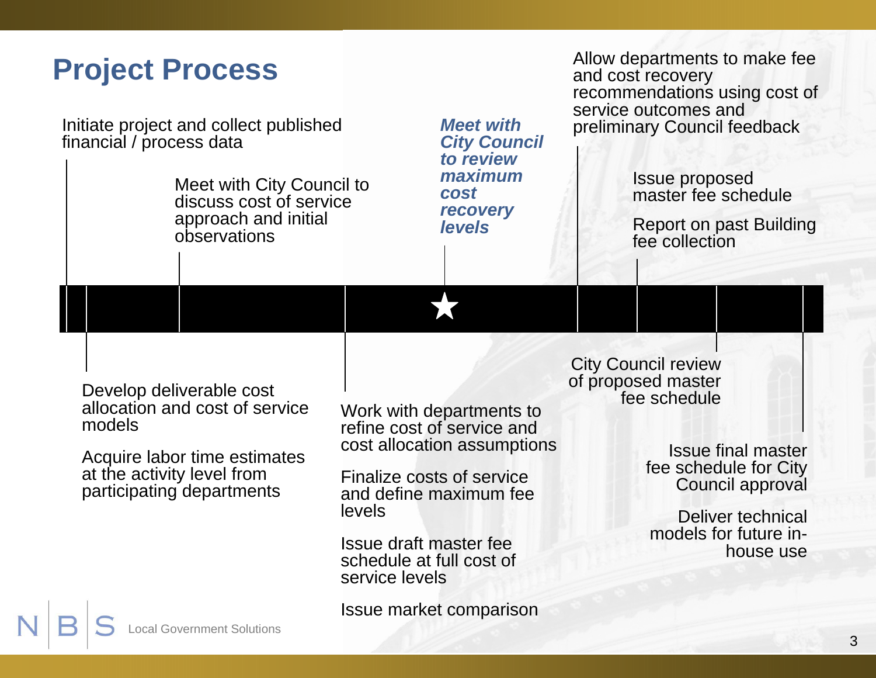|                                                                                                                                                                                                                                                                                                                                                                                                                                                                                                                                                                                                                                                                           | <b>Project Process</b><br>Initiate project and collect published<br>financial / process data<br>Meet with City Council to<br>discuss cost of service<br>approach and initial<br>observations | <b>Meet with</b><br><b>City Council</b><br>to review<br>maximum<br><b>cost</b><br>recovery<br><b>levels</b> | Allow departments to make fee<br>and cost recovery<br>recommendations using cost of<br>service outcomes and<br>preliminary Council feedback<br><b>Issue proposed</b><br>master fee schedule<br>Report on past Building<br>fee collection |
|---------------------------------------------------------------------------------------------------------------------------------------------------------------------------------------------------------------------------------------------------------------------------------------------------------------------------------------------------------------------------------------------------------------------------------------------------------------------------------------------------------------------------------------------------------------------------------------------------------------------------------------------------------------------------|----------------------------------------------------------------------------------------------------------------------------------------------------------------------------------------------|-------------------------------------------------------------------------------------------------------------|------------------------------------------------------------------------------------------------------------------------------------------------------------------------------------------------------------------------------------------|
| <b>City Council review</b><br>of proposed master<br>Develop deliverable cost<br>fee schedule<br>allocation and cost of service<br>Work with departments to<br>models<br>refine cost of service and<br>cost allocation assumptions<br><b>Issue final master</b><br>Acquire labor time estimates<br>fee schedule for City<br>at the activity level from<br><b>Finalize costs of service</b><br>Council approval<br>participating departments<br>and define maximum fee<br>levels<br>Deliver technical<br>models for future in-<br>Issue draft master fee<br>house use<br>schedule at full cost of<br>service levels<br>Issue market comparison<br>ocal Government Solutions |                                                                                                                                                                                              |                                                                                                             |                                                                                                                                                                                                                                          |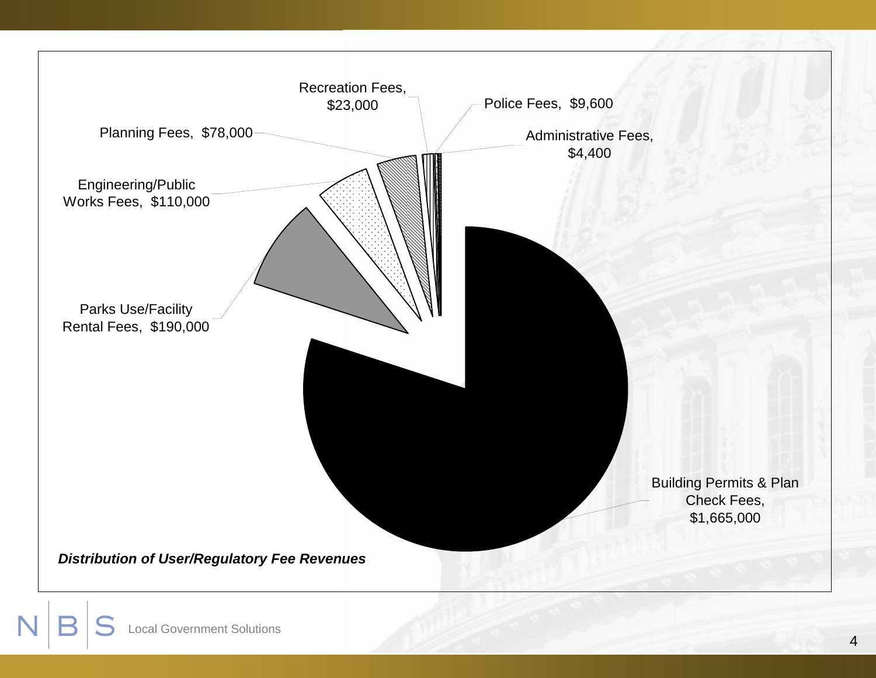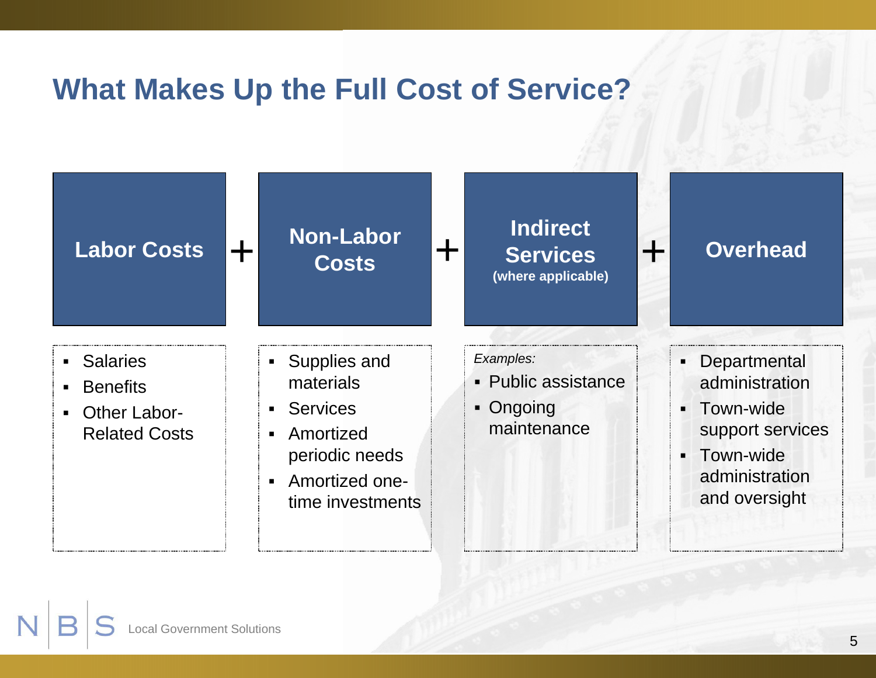# **What Makes Up the Full Cost of Service?**

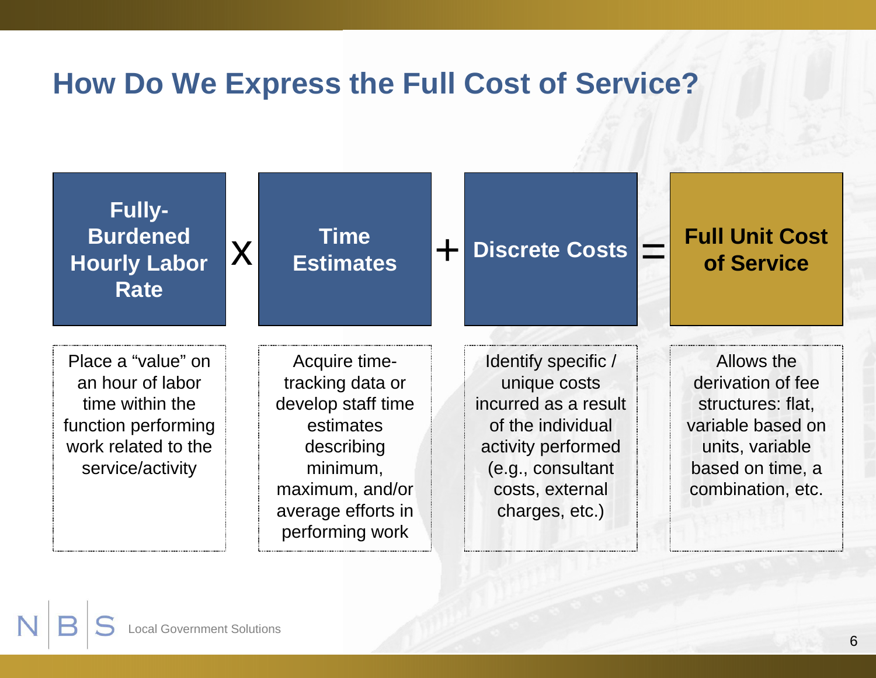# **How Do We Express the Full Cost of Service?**

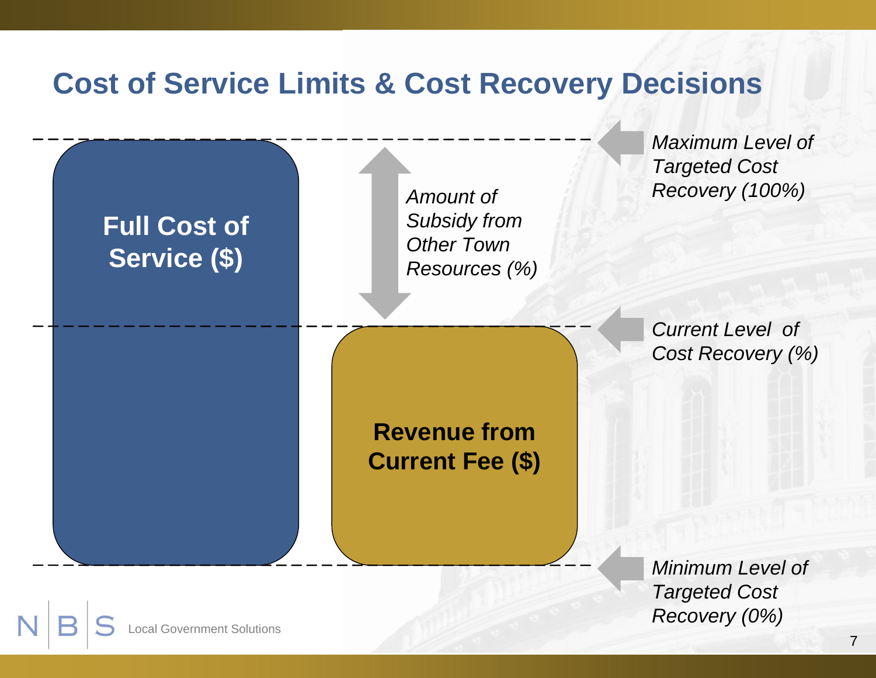# **Cost of Service Limits & Cost Recovery Decisions**



*Minimum Level of Targeted Cost Recovery (0%)*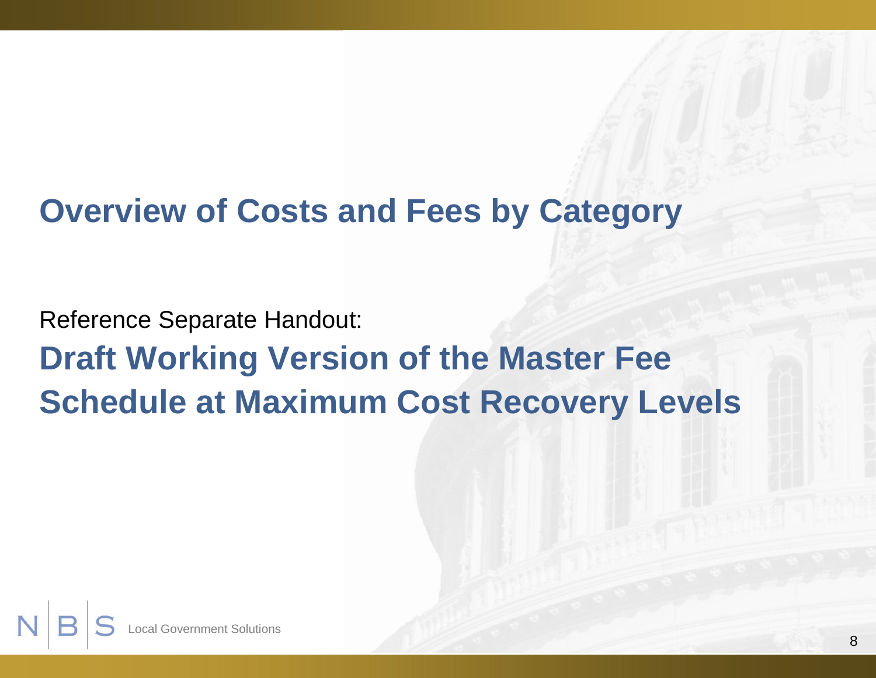# **Overview of Costs and Fees by Category**

Reference Separate Handout: **Draft Working Version of the Master Fee Schedule at Maximum Cost Recovery Levels**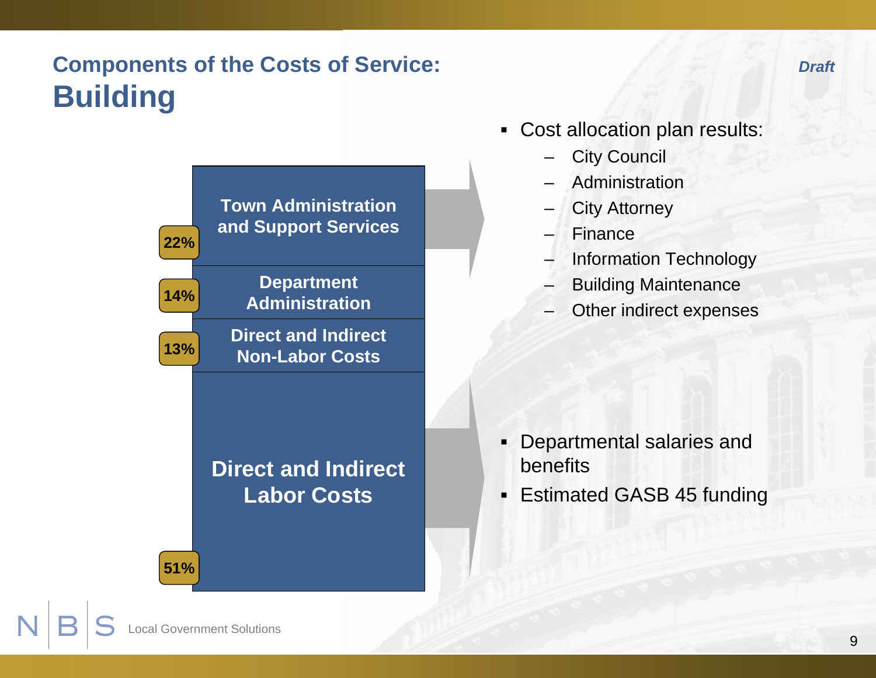#### **Components of the Costs of Service: Building**



- Cost allocation plan results:
	- City Council
	- **Administration**
	- City Attorney
	- Finance
	- Information Technology
	- Building Maintenance
	- Other indirect expenses

- Departmental salaries and benefits
- Estimated GASB 45 funding

**51%**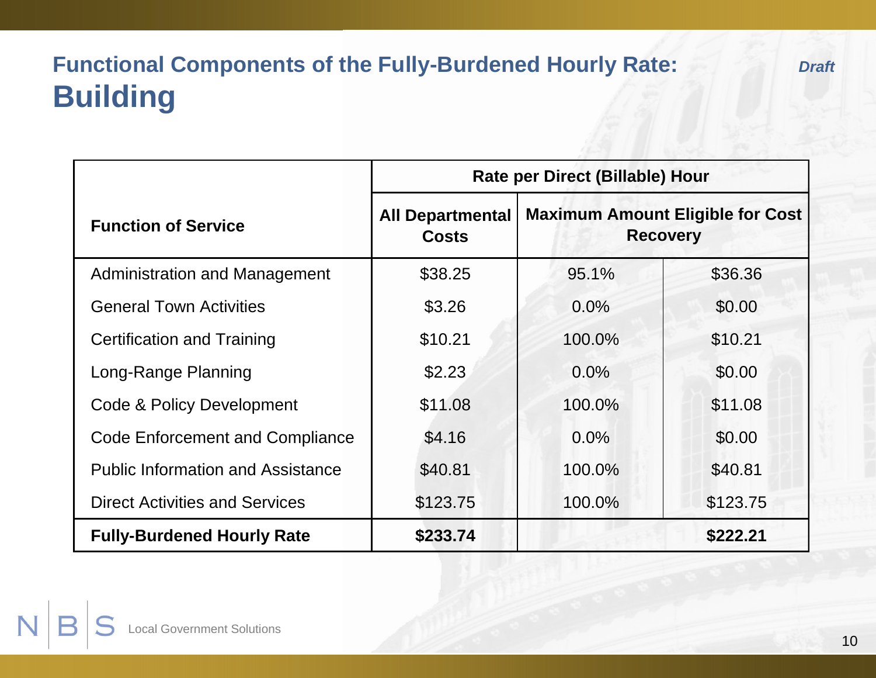# **Functional Components of the Fully-Burdened Hourly Rate: Building**

|                                          | Rate per Direct (Billable) Hour         |                                                            |          |
|------------------------------------------|-----------------------------------------|------------------------------------------------------------|----------|
| <b>Function of Service</b>               | <b>All Departmental</b><br><b>Costs</b> | <b>Maximum Amount Eligible for Cost</b><br><b>Recovery</b> |          |
| Administration and Management            | \$38.25                                 | 95.1%                                                      | \$36.36  |
| <b>General Town Activities</b>           | \$3.26                                  | 0.0%                                                       | \$0.00   |
| Certification and Training               | \$10.21                                 | 100.0%                                                     | \$10.21  |
| Long-Range Planning                      | \$2.23                                  | $0.0\%$                                                    | \$0.00   |
| Code & Policy Development                | \$11.08                                 | 100.0%                                                     | \$11.08  |
| Code Enforcement and Compliance          | \$4.16                                  | $0.0\%$                                                    | \$0.00   |
| <b>Public Information and Assistance</b> | \$40.81                                 | 100.0%                                                     | \$40.81  |
| <b>Direct Activities and Services</b>    | \$123.75                                | 100.0%                                                     | \$123.75 |
| <b>Fully-Burdened Hourly Rate</b>        | \$233.74                                |                                                            | \$222.21 |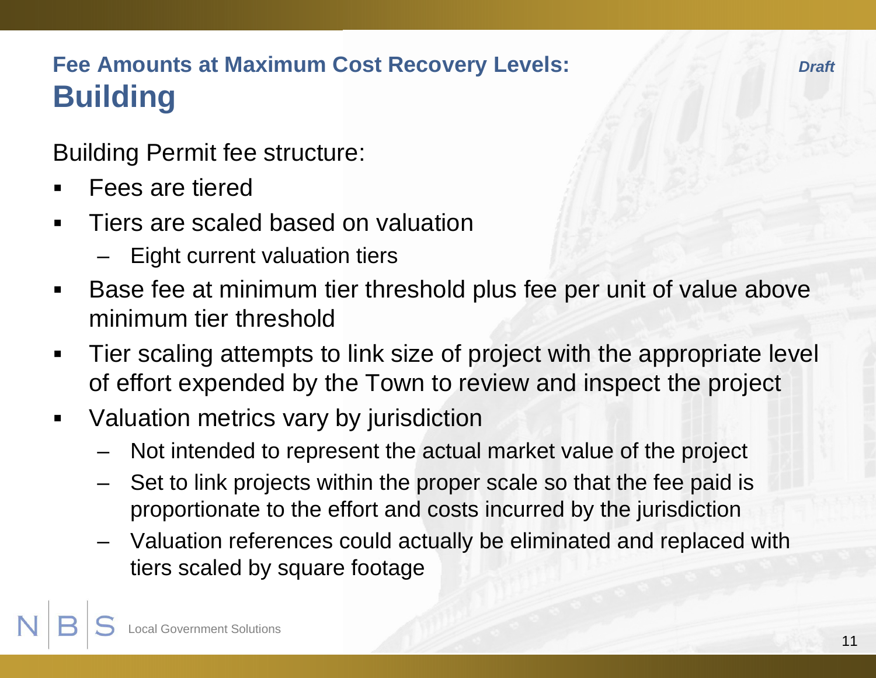Building Permit fee structure:

- ٠ **Fees are tiered**
- $\blacksquare$  Tiers are scaled based on valuation
	- –Eight current valuation tiers
- $\blacksquare$  Base fee at minimum tier threshold plus fee per unit of value above minimum tier threshold
- $\blacksquare$  Tier scaling attempts to link size of project with the appropriate level of effort expended by the Town to review and inspect the project
- $\blacksquare$  Valuation metrics vary by jurisdiction
	- Not intended to represent the actual market value of the project
	- Set to link projects within the proper scale so that the fee paid is proportionate to the effort and costs incurred by the jurisdiction
	- Valuation references could actually be eliminated and replaced with tiers scaled by square footage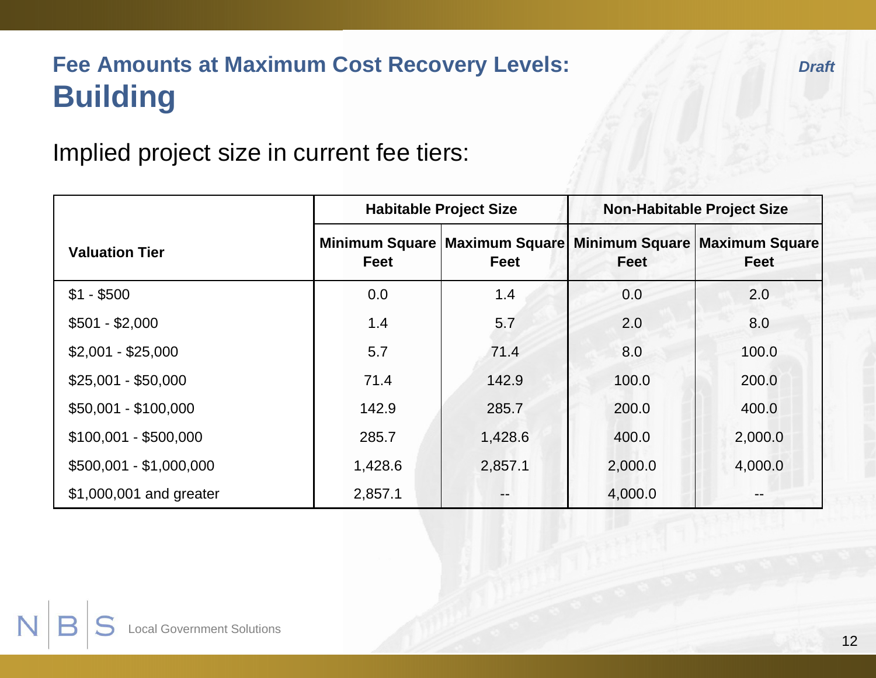*Draft*

#### Implied project size in current fee tiers:

|                         | <b>Habitable Project Size</b> |                                                                           |         |         |  | <b>Non-Habitable Project Size</b> |
|-------------------------|-------------------------------|---------------------------------------------------------------------------|---------|---------|--|-----------------------------------|
| <b>Valuation Tier</b>   | Feet                          | Minimum Square   Maximum Square   Minimum Square   Maximum Square<br>Feet | Feet    | Feet    |  |                                   |
| $$1 - $500$             | 0.0                           | 1.4                                                                       | 0.0     | 2.0     |  |                                   |
| $$501 - $2,000$         | 1.4                           | 5.7                                                                       | 2.0     | 8.0     |  |                                   |
| $$2,001 - $25,000$      | 5.7                           | 71.4                                                                      | 8.0     | 100.0   |  |                                   |
| $$25,001 - $50,000$     | 71.4                          | 142.9                                                                     | 100.0   | 200.0   |  |                                   |
| $$50,001 - $100,000$    | 142.9                         | 285.7                                                                     | 200.0   | 400.0   |  |                                   |
| $$100,001 - $500,000$   | 285.7                         | 1,428.6                                                                   | 400.0   | 2,000.0 |  |                                   |
| $$500,001 - $1,000,000$ | 1,428.6                       | 2,857.1                                                                   | 2,000.0 | 4,000.0 |  |                                   |
| \$1,000,001 and greater | 2,857.1                       |                                                                           | 4,000.0 |         |  |                                   |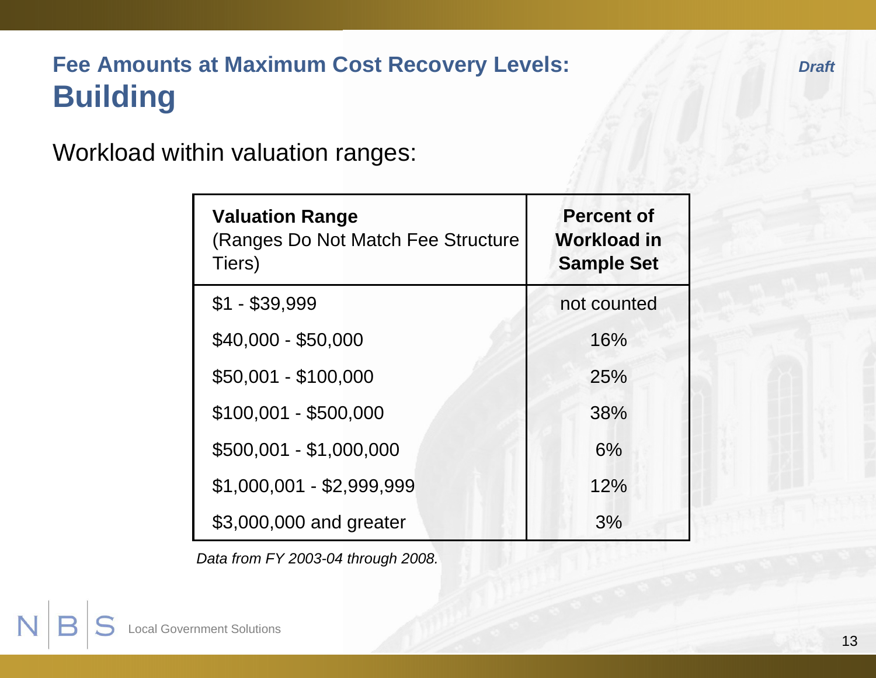Workload within valuation ranges:

| <b>Valuation Range</b><br>(Ranges Do Not Match Fee Structure)<br>Tiers) | <b>Percent of</b><br>Workload in<br><b>Sample Set</b> |
|-------------------------------------------------------------------------|-------------------------------------------------------|
| $$1 - $39,999$                                                          | not counted                                           |
| \$40,000 - \$50,000                                                     | 16%                                                   |
| \$50,001 - \$100,000                                                    | 25%                                                   |
| $$100,001 - $500,000$                                                   | 38%                                                   |
| \$500,001 - \$1,000,000                                                 | 6%                                                    |
| \$1,000,001 - \$2,999,999                                               | 12%                                                   |
| \$3,000,000 and greater                                                 | 3%                                                    |

*Data from FY 2003-04 through 2008.*

13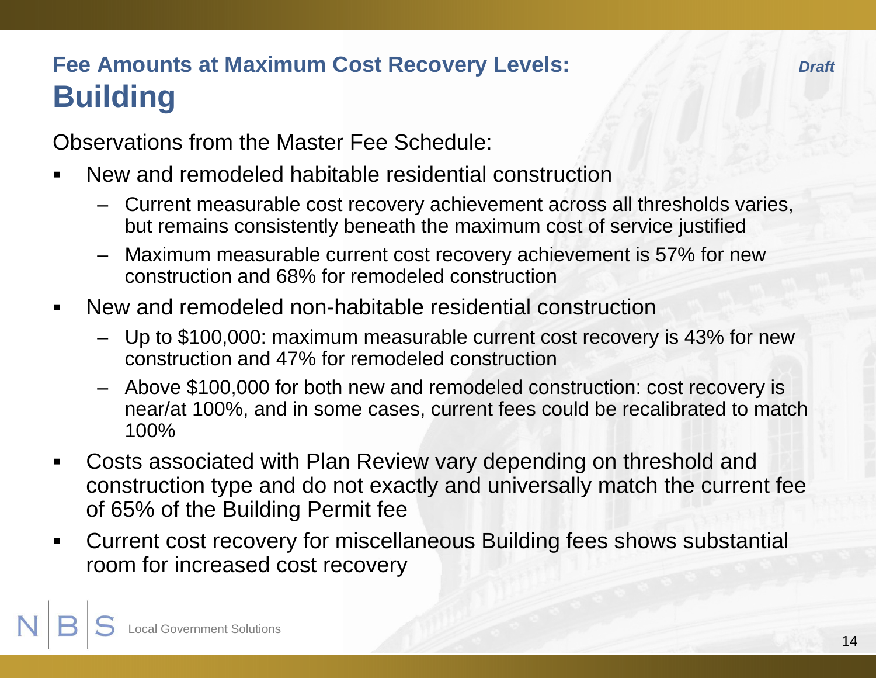Observations from the Master Fee Schedule:

- New and remodeled habitable residential construction
	- Current measurable cost recovery achievement across all thresholds varies, but remains consistently beneath the maximum cost of service justified
	- Maximum measurable current cost recovery achievement is 57% for new construction and 68% for remodeled construction
- $\blacksquare$  New and remodeled non-habitable residential construction
	- Up to \$100,000: maximum measurable current cost recovery is 43% for new construction and 47% for remodeled construction
	- Above \$100,000 for both new and remodeled construction: cost recovery is near/at 100%, and in some cases, current fees could be recalibrated to match 100%
- $\blacksquare$  Costs associated with Plan Review vary depending on threshold and construction type and do not exactly and universally match the current fee of 65% of the Building Permit fee
- $\blacksquare$  Current cost recovery for miscellaneous Building fees shows substantial room for increased cost recovery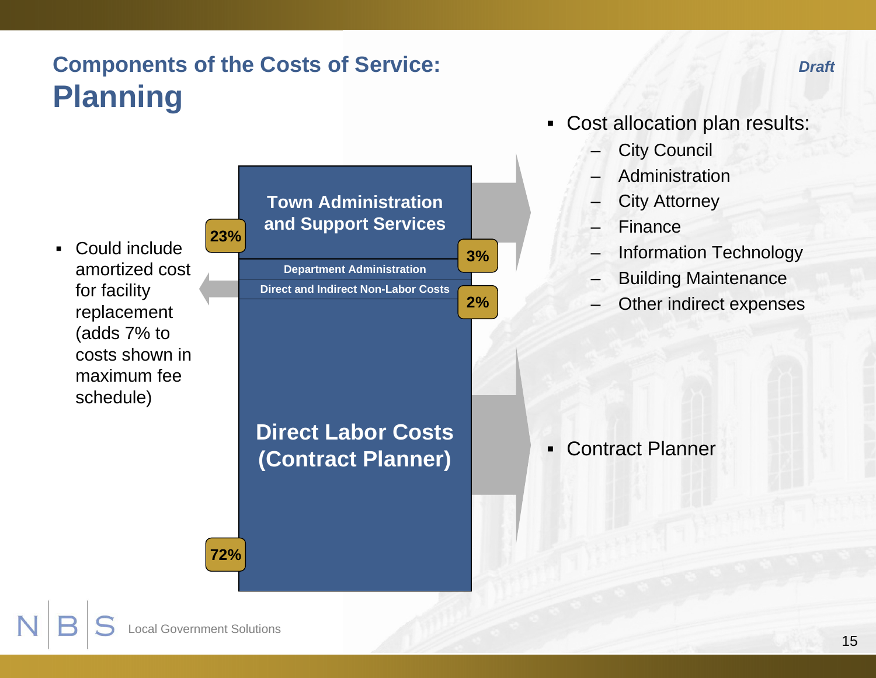#### **Components of the Costs of Service: Planning**

 Could include amortized cost for facility replacement (adds 7% to costs shown in maximum fee schedule)



- Cost allocation plan results:
	- City Council
	- Administration
	- City Attorney
	- Finance
	- Information Technology
	- Building Maintenance
	- Other indirect expenses

■ Contract Planner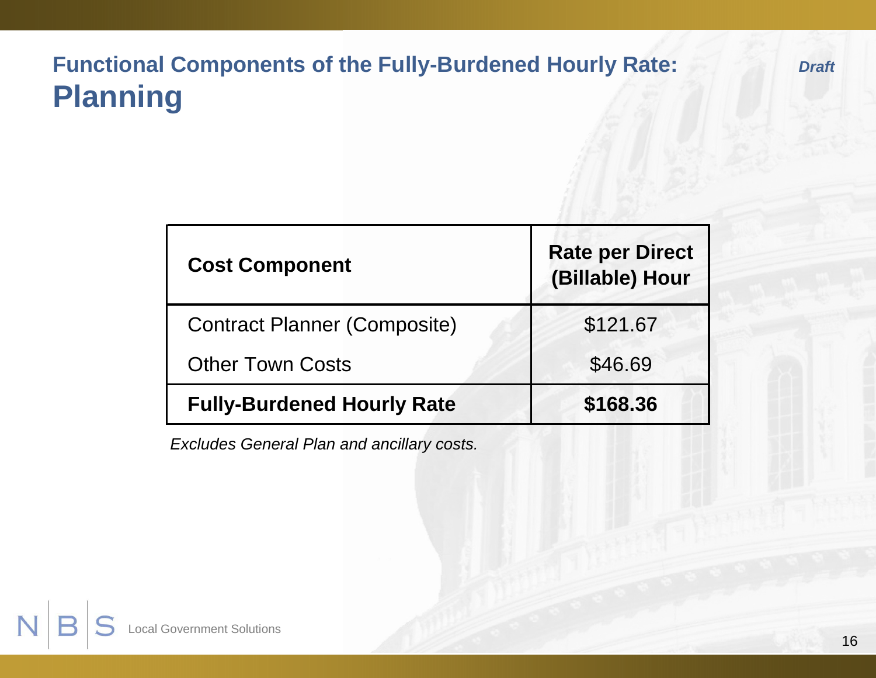# **Functional Components of the Fully-Burdened Hourly Rate: Planning**

*Draft*

| <b>Cost Component</b>               | <b>Rate per Direct</b><br>(Billable) Hour |
|-------------------------------------|-------------------------------------------|
| <b>Contract Planner (Composite)</b> | \$121.67                                  |
| <b>Other Town Costs</b>             | \$46.69                                   |
| <b>Fully-Burdened Hourly Rate</b>   | \$168.36                                  |

*Excludes General Plan and ancillary costs.*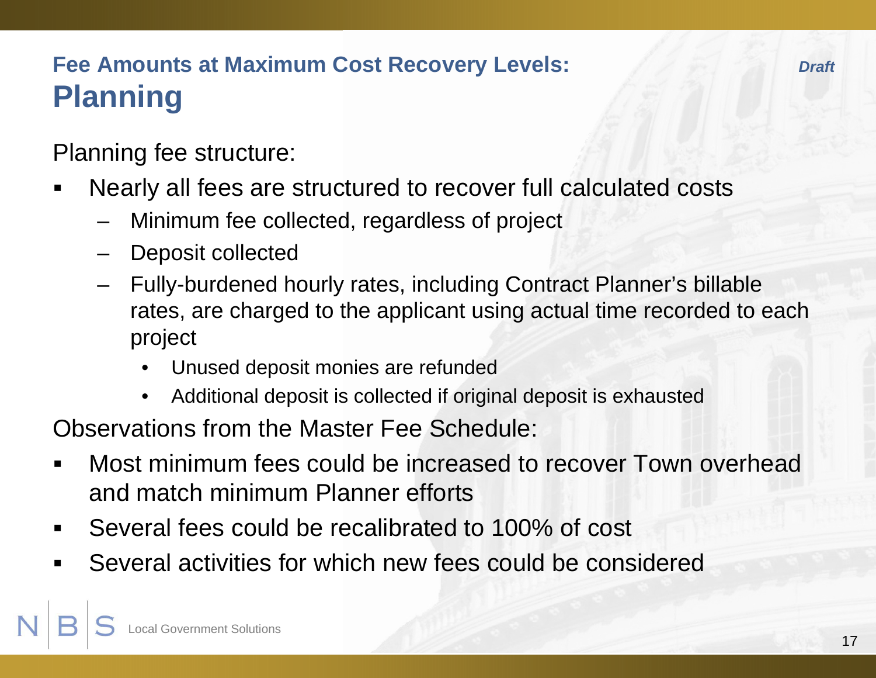Planning fee structure:

- ٠ Nearly all fees are structured to recover full calculated costs
	- Minimum fee collected, regardless of project
	- Deposit collected
	- Fully-burdened hourly rates, including Contract Planner's billable rates, are charged to the applicant using actual time recorded to each project
		- •Unused deposit monies are refunded
		- $\bullet$ Additional deposit is collected if original deposit is exhausted

Observations from the Master Fee Schedule:

- Most minimum fees could be increased to recover Town overhead and match minimum Planner efforts
- $\blacksquare$ Several fees could be recalibrated to 100% of cost
- ٠ Several activities for which new fees could be considered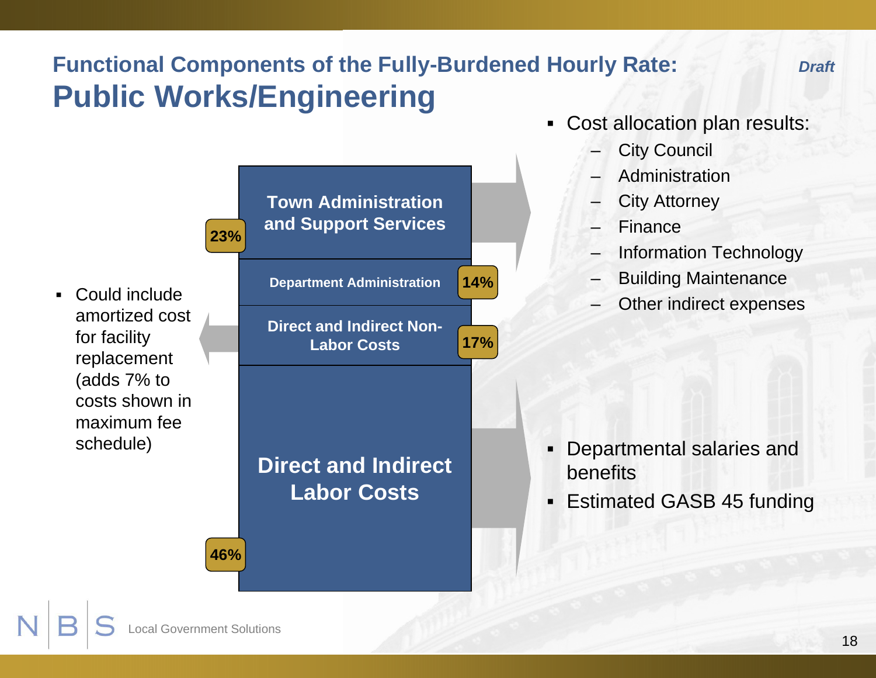#### **Functional Components of the Fully-Burdened Hourly Rate: Public Works/Engineering**

**17%**

**14%**

*Draft*

#### **Direct and Indirect Labor Costs Direct and Indirect Non-Labor CostsDepartment Administration Town Administration and Support Services** Could include **Could include**<br>amortized cost for facility replacement (adds 7% to costs shown in maximum fee schedule) **23%**

- Cost allocation plan results:
	- City Council
	- Administration
	- City Attorney
	- Finance
	- Information Technology
	- Building Maintenance
	-

- Departmental salaries and benefits
- Estimated GASB 45 funding

**46%**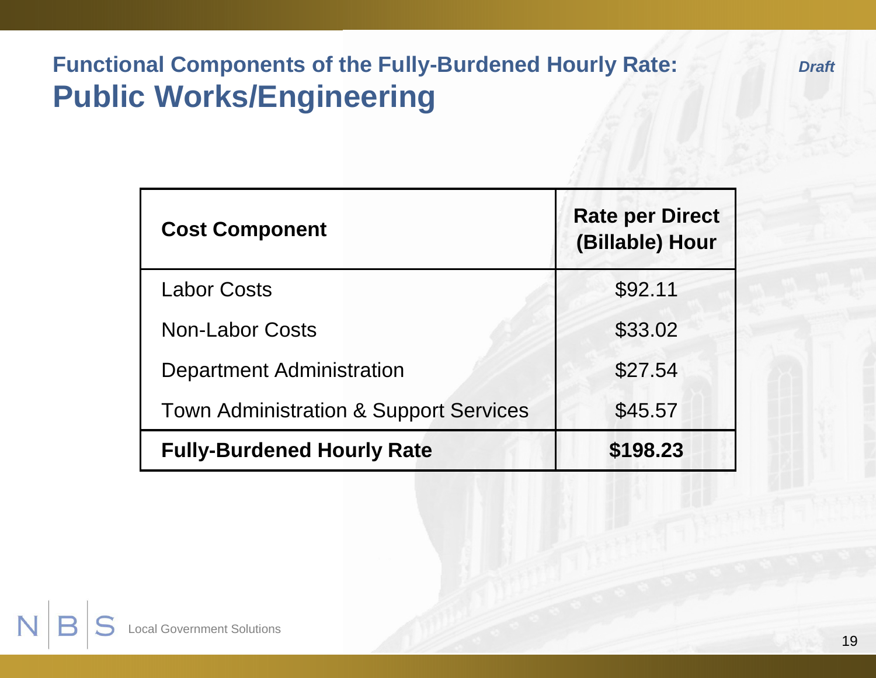# **Functional Components of the Fully-Burdened Hourly Rate: Public Works/Engineering**

| <b>Cost Component</b>                             | <b>Rate per Direct</b><br>(Billable) Hour |
|---------------------------------------------------|-------------------------------------------|
| <b>Labor Costs</b>                                | \$92.11                                   |
| <b>Non-Labor Costs</b>                            | \$33.02                                   |
| <b>Department Administration</b>                  | \$27.54                                   |
| <b>Town Administration &amp; Support Services</b> | \$45.57                                   |
| <b>Fully-Burdened Hourly Rate</b>                 | \$198.23                                  |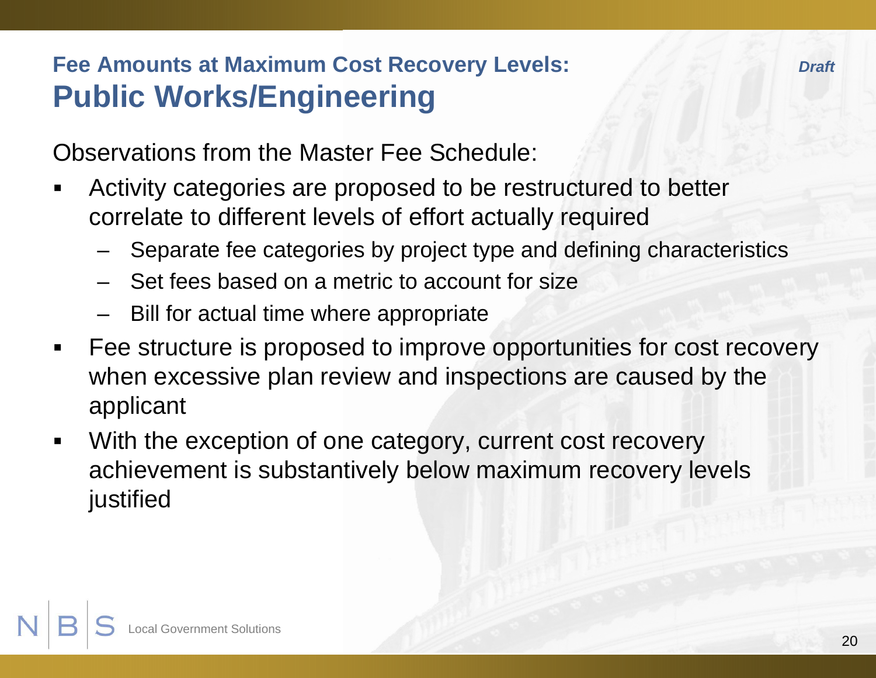#### **Fee Amounts at Maximum Cost Recovery Levels: Public Works/Engineering**

Observations from the Master Fee Schedule:

- ٠ Activity categories are proposed to be restructured to better correlate to different levels of effort actually required
	- Separate fee categories by project type and defining characteristics
	- Set fees based on a metric to account for size
	- Bill for actual time where appropriate
- $\blacksquare$  Fee structure is proposed to improve opportunities for cost recovery when excessive plan review and inspections are caused by the applicant
- $\blacksquare$  With the exception of one category, current cost recovery achievement is substantively below maximum recovery levels justified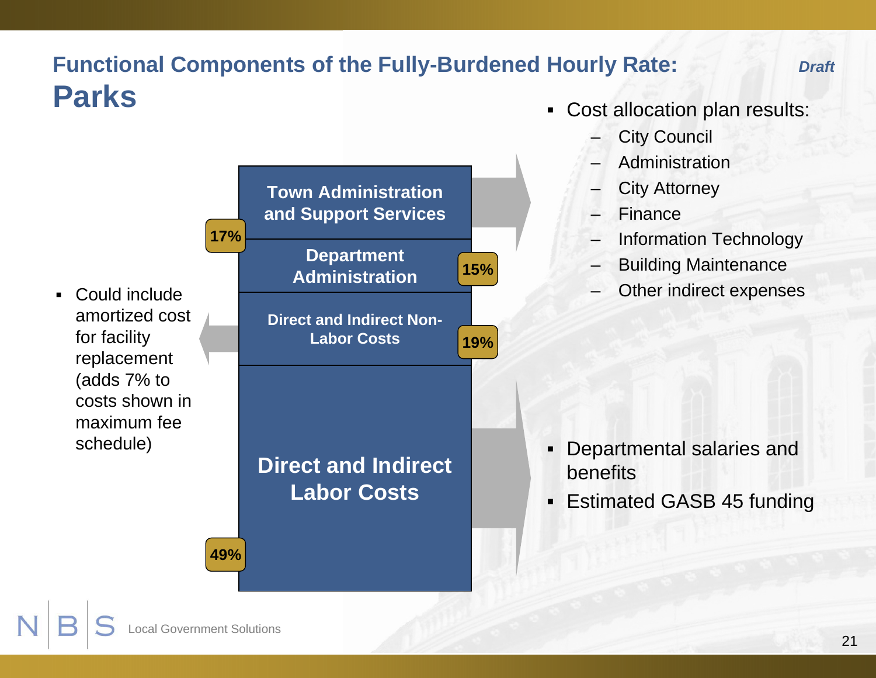#### **Functional Components of the Fully-Burdened Hourly Rate: Parks**

- **Direct and Indirect Labor Costs Direct and Indirect Non-Labor CostsDepartment AdministrationTown Administration and Support Services** • Could include amortized cost for facility replacement (adds 7% to costs shown in maximum fee schedule) **49%19%15% 17%**■
- Cost allocation plan results:
	- City Council
	- Administration
	- City Attorney
	- Finance
	- Information Technology
	- Building Maintenance
	- Other indirect expenses
- Departmental salaries and benefits
- Estimated GASB 45 funding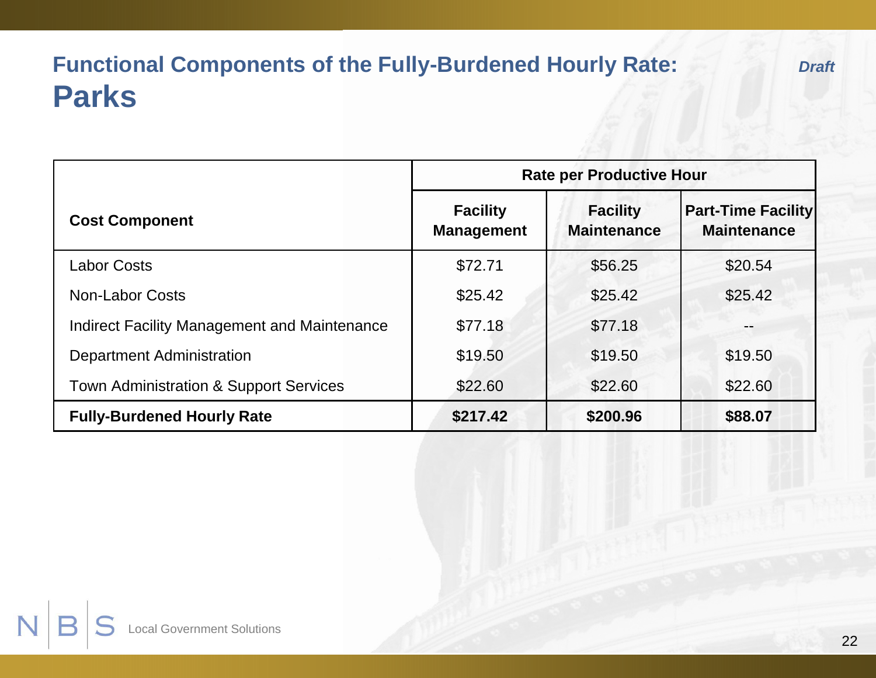#### **Functional Components of the Fully-Burdened Hourly Rate: Parks**

|                                              | <b>Rate per Productive Hour</b>      |                                       |                                                 |
|----------------------------------------------|--------------------------------------|---------------------------------------|-------------------------------------------------|
| <b>Cost Component</b>                        | <b>Facility</b><br><b>Management</b> | <b>Facility</b><br><b>Maintenance</b> | <b>Part-Time Facility</b><br><b>Maintenance</b> |
| <b>Labor Costs</b>                           | \$72.71                              | \$56.25                               | \$20.54                                         |
| <b>Non-Labor Costs</b>                       | \$25.42                              | \$25.42                               | \$25.42                                         |
| Indirect Facility Management and Maintenance | \$77.18                              | \$77.18                               |                                                 |
| <b>Department Administration</b>             | \$19.50                              | \$19.50                               | \$19.50                                         |
| Town Administration & Support Services       | \$22.60                              | \$22.60                               | \$22.60                                         |
| <b>Fully-Burdened Hourly Rate</b>            | \$217.42                             | \$200.96                              | \$88.07                                         |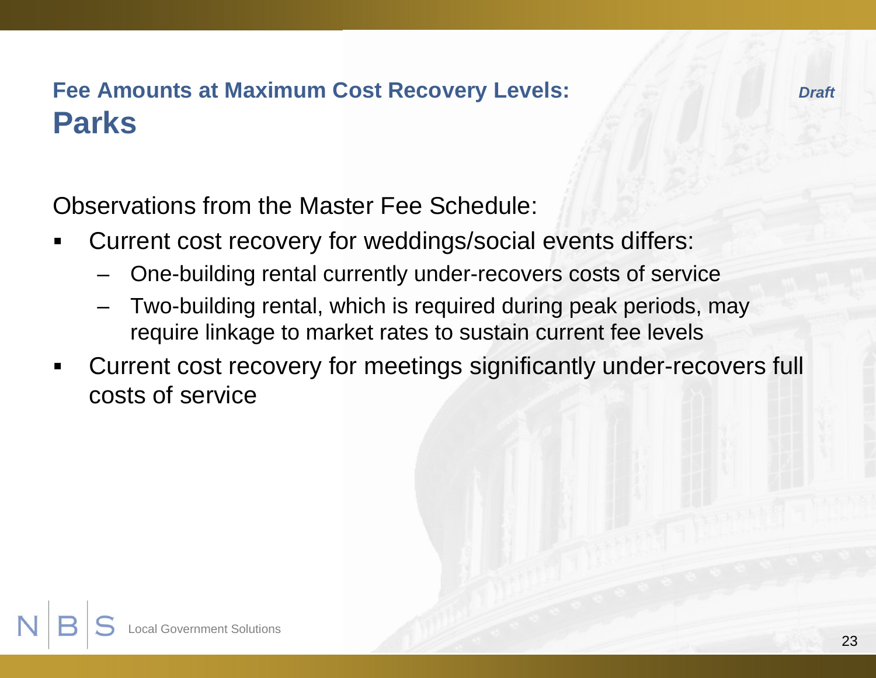#### **Fee Amounts at Maximum Cost Recovery Levels: Parks**

Observations from the Master Fee Schedule:

- ٠ Current cost recovery for weddings/social events differs:
	- One-building rental currently under-recovers costs of service
	- Two-building rental, which is required during peak periods, may require linkage to market rates to sustain current fee levels
- ٠ Current cost recovery for meetings significantly under-recovers full costs of service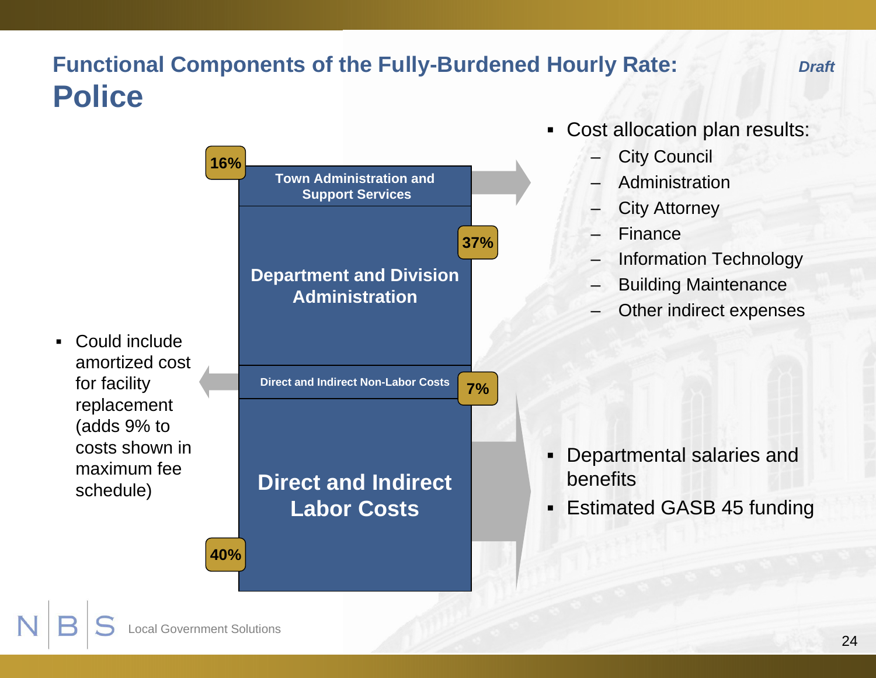#### **Functional Components of the Fully-Burdened Hourly Rate: Police**



- Cost allocation plan results:
	- City Council
	- Administration
	- City Attorney
	- Finance
	- Information Technology
	- Building Maintenance
	- Other indirect expenses

- Departmental salaries and benefits
- Estimated GASB 45 funding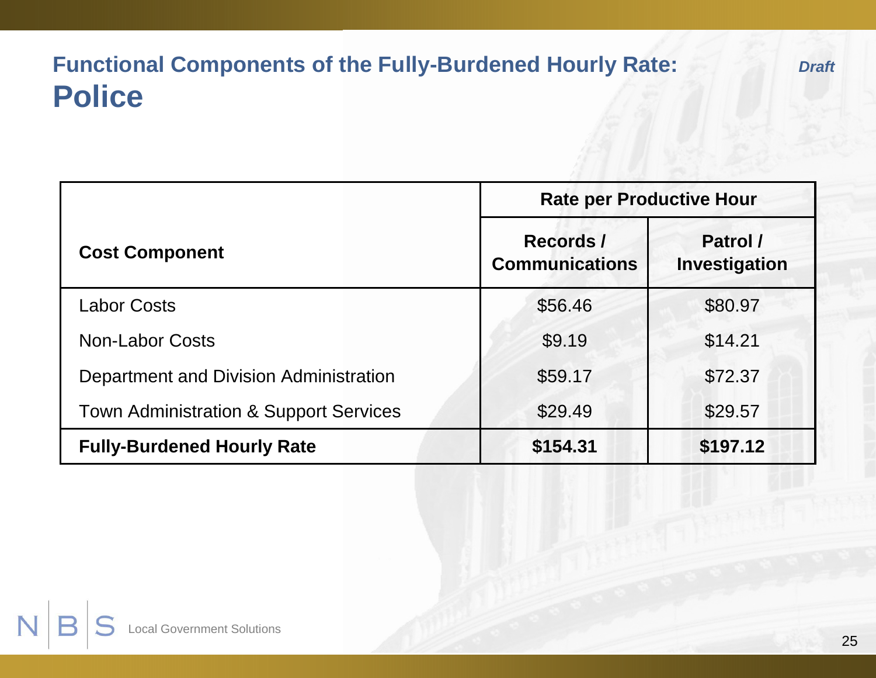#### **Functional Components of the Fully-Burdened Hourly Rate: Police**

|                                                   | <b>Rate per Productive Hour</b>    |                           |  |
|---------------------------------------------------|------------------------------------|---------------------------|--|
| <b>Cost Component</b>                             | Records /<br><b>Communications</b> | Patrol /<br>Investigation |  |
| <b>Labor Costs</b>                                | \$56.46                            | \$80.97                   |  |
| <b>Non-Labor Costs</b>                            | \$9.19                             | \$14.21                   |  |
| Department and Division Administration            | \$59.17                            | \$72.37                   |  |
| <b>Town Administration &amp; Support Services</b> | \$29.49                            | \$29.57                   |  |
| <b>Fully-Burdened Hourly Rate</b>                 | \$154.31                           | \$197.12                  |  |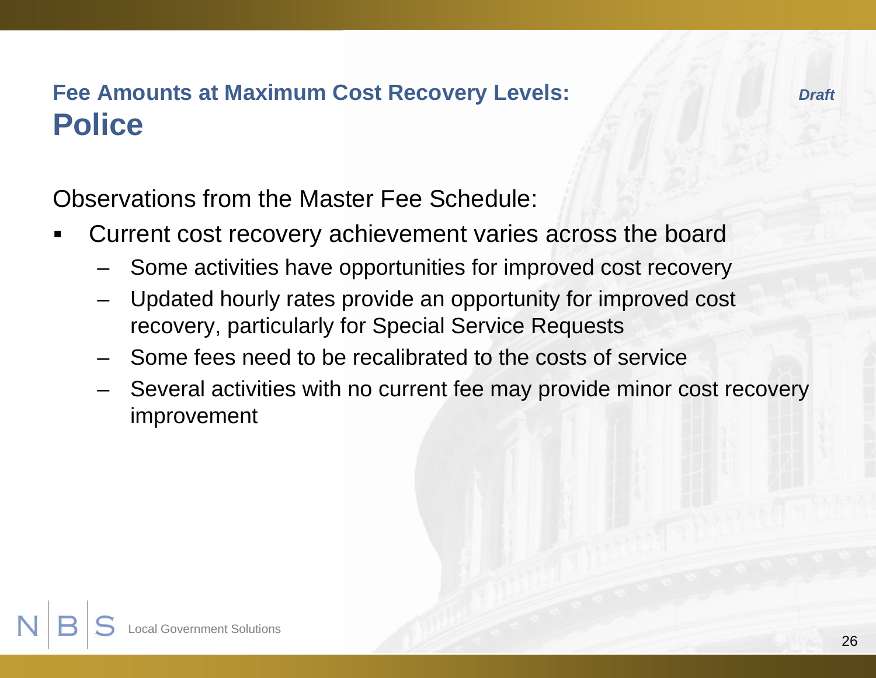Observations from the Master Fee Schedule:

- ٠ Current cost recovery achievement varies across the board
	- Some activities have opportunities for improved cost recovery
	- Updated hourly rates provide an opportunity for improved cost recovery, particularly for Special Service Requests
	- Some fees need to be recalibrated to the costs of service
	- Several activities with no current fee may provide minor cost recovery improvement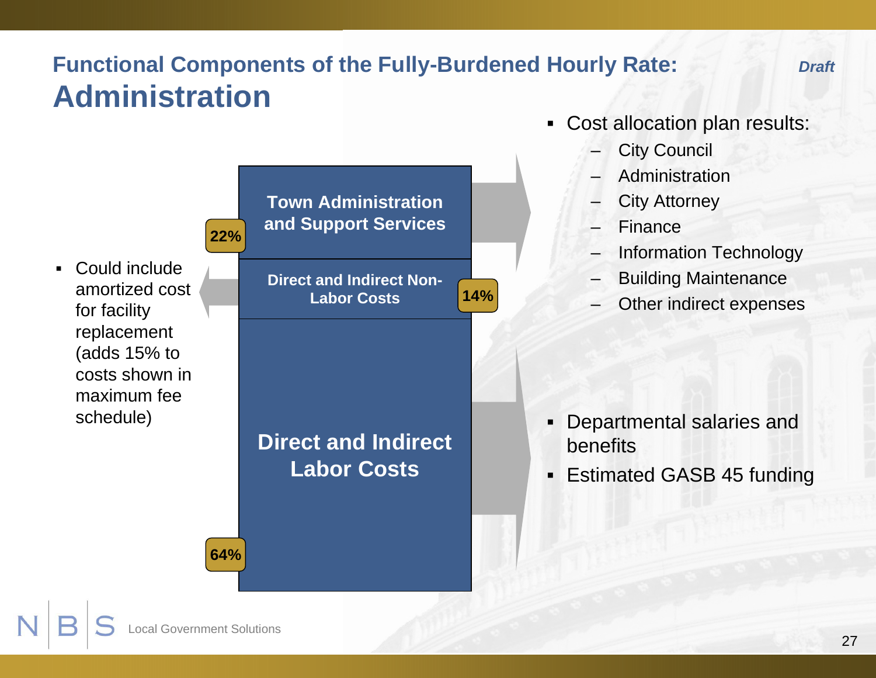#### **Functional Components of the Fully-Burdened Hourly Rate: Administration**



- Cost allocation plan results:
	- City Council
	- Administration
	- City Attorney
	- Finance
	- Information Technology
	- Building Maintenance
	- Other indirect expenses

- Departmental salaries and benefits
- Estimated GASB 45 funding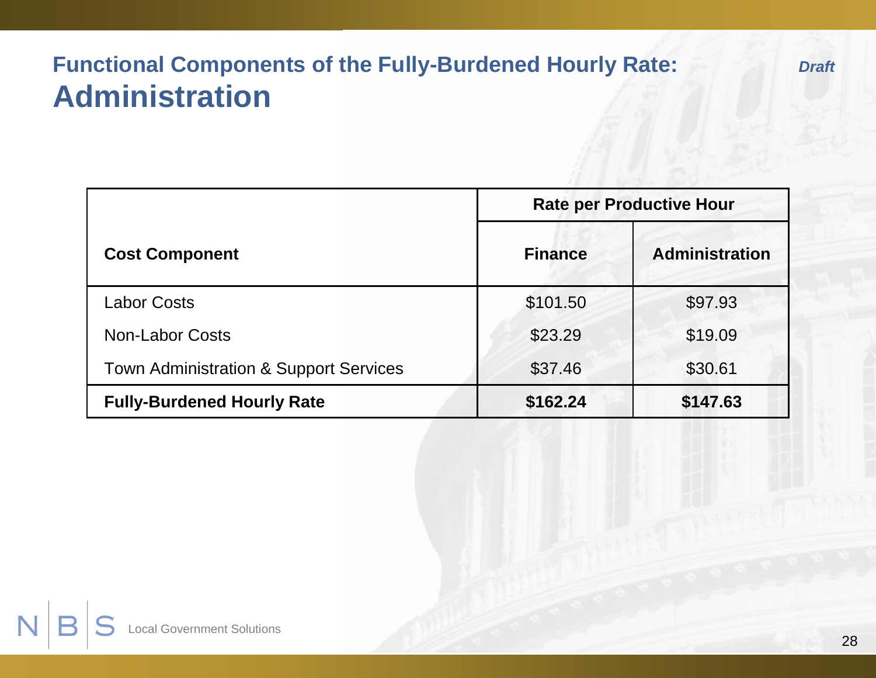# **Functional Components of the Fully-Burdened Hourly Rate: Administration**

|                                                   | <b>Rate per Productive Hour</b> |                       |  |
|---------------------------------------------------|---------------------------------|-----------------------|--|
| <b>Cost Component</b>                             | <b>Finance</b>                  | <b>Administration</b> |  |
| <b>Labor Costs</b>                                | \$101.50                        | \$97.93               |  |
| <b>Non-Labor Costs</b>                            | \$23.29                         | \$19.09               |  |
| <b>Town Administration &amp; Support Services</b> | \$37.46                         | \$30.61               |  |
| <b>Fully-Burdened Hourly Rate</b>                 | \$162.24                        | \$147.63              |  |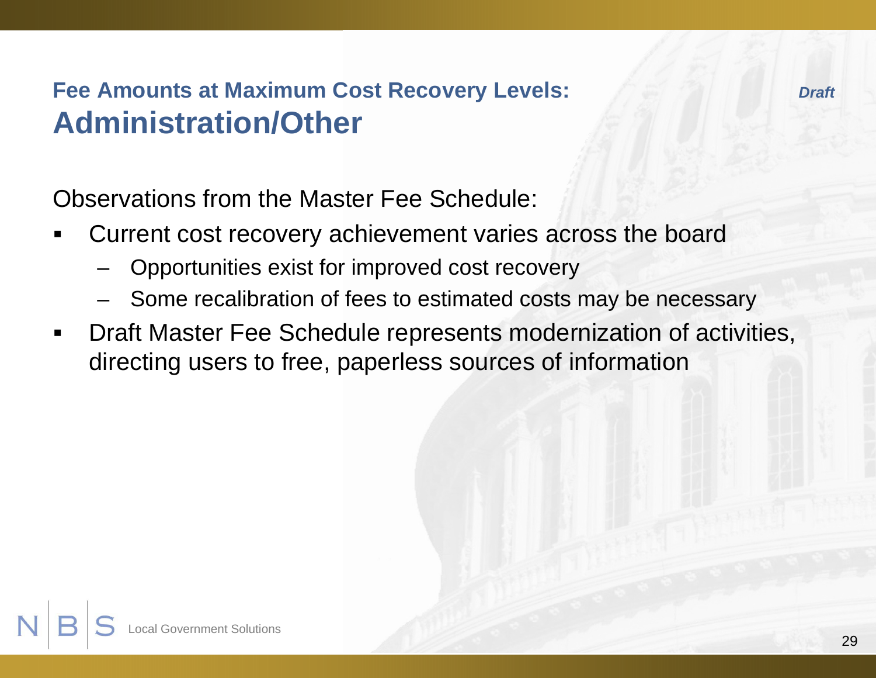#### **Fee Amounts at Maximum Cost Recovery Levels: Administration/Other**

Observations from the Master Fee Schedule:

- ٠ Current cost recovery achievement varies across the board
	- Opportunities exist for improved cost recovery
	- Some recalibration of fees to estimated costs may be necessary
- $\blacksquare$  Draft Master Fee Schedule represents modernization of activities, directing users to free, paperless sources of information